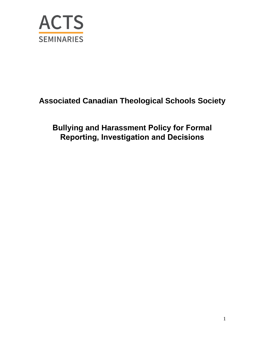

## **Associated Canadian Theological Schools Society**

## **Bullying and Harassment Policy for Formal Reporting, Investigation and Decisions**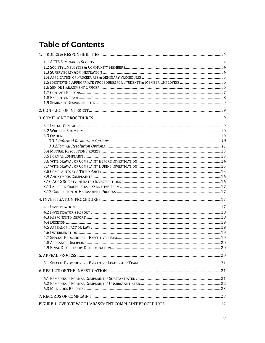# **Table of Contents**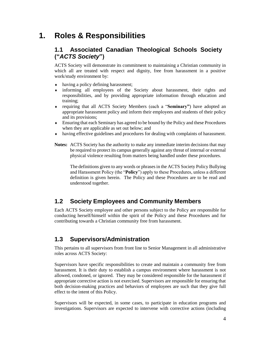## **1. Roles & Responsibilities**

## **1.1 Associated Canadian Theological Schools Society ("***ACTS Society***")**

ACTS Society will demonstrate its commitment to maintaining a Christian community in which all are treated with respect and dignity, free from harassment in a positive work/study environment by:

- having a policy defining harassment;
- informing all employees of the Society about harassment, their rights and responsibilities, and by providing appropriate information through education and training;
- requiring that all ACTS Society Members (each a "**Seminary"**) have adopted an appropriate harassment policy and inform their employees and students of their policy and its provisions;
- Ensuring that each Seminary has agreed to be bound by the Policy and these Procedures when they are applicable as set out below; and
- having effective guidelines and procedures for dealing with complaints of harassment.
- **Notes:** ACTS Society has the authority to make any immediate interim decisions that may be required to protect its campus generally against any threat of internal or external physical violence resulting from matters being handled under these procedures.

The definitions given to any words or phrases in the ACTS Society Policy Bullying and Harassment Policy (the "**Policy**") apply to these Procedures, unless a different definition is given herein. The Policy and these Procedures are to be read and understood together.

## **1.2 Society Employees and Community Members**

Each ACTS Society employee and other persons subject to the Policy are responsible for conducting herself/himself within the spirit of the Policy and these Procedures and for contributing towards a Christian community free from harassment.

### **1.3 Supervisors/Administration**

This pertains to all supervisors from front line to Senior Management in all administrative roles across ACTS Society:

Supervisors have specific responsibilities to create and maintain a community free from harassment. It is their duty to establish a campus environment where harassment is not allowed, condoned, or ignored. They may be considered responsible for the harassment if appropriate corrective action is not exercised. Supervisors are responsible for ensuring that both decision-making practices and behaviors of employees are such that they give full effect to the intent of this Policy.

Supervisors will be expected, in some cases, to participate in education programs and investigations. Supervisors are expected to intervene with corrective actions (including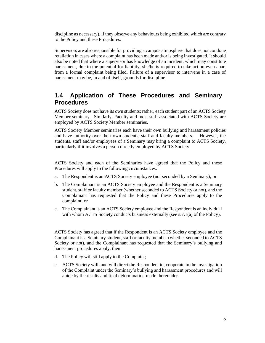discipline as necessary), if they observe any behaviours being exhibited which are contrary to the Policy and these Procedures.

Supervisors are also responsible for providing a campus atmosphere that does not condone retaliation in cases where a complaint has been made and/or is being investigated. It should also be noted that where a supervisor has knowledge of an incident, which may constitute harassment, due to the potential for liability, she/he is required to take action even apart from a formal complaint being filed. Failure of a supervisor to intervene in a case of harassment may be, in and of itself, grounds for discipline.

### **1.4 Application of These Procedures and Seminary Procedures**

ACTS Society does not have its own students; rather, each student part of an ACTS Society Member seminary. Similarly, Faculty and most staff associated with ACTS Society are employed by ACTS Society Member seminaries.

ACTS Society Member seminaries each have their own bullying and harassment policies and have authority over their own students, staff and faculty members. However, the students, staff and/or employees of a Seminary may bring a complaint to ACTS Society, particularly if it involves a person directly employed by ACTS Society.

ACTS Society and each of the Seminaries have agreed that the Policy and these Procedures will apply to the following circumstances:

- a. The Respondent is an ACTS Society employee (not seconded by a Seminary); or
- b. The Complainant is an ACTS Society employee and the Respondent is a Seminary student, staff or faculty member (whether seconded to ACTS Society or not), and the Complainant has requested that the Policy and these Procedures apply to the complaint; or
- c. The Complainant is an ACTS Society employee and the Respondent is an individual with whom ACTS Society conducts business externally (see s.7.1(a) of the Policy).

ACTS Society has agreed that if the Respondent is an ACTS Society employee and the Complainant is a Seminary student, staff or faculty member (whether seconded to ACTS Society or not), and the Complainant has requested that the Seminary's bullying and harassment procedures apply, then:

- d. The Policy will still apply to the Complaint;
- e. ACTS Society will, and will direct the Respondent to, cooperate in the investigation of the Complaint under the Seminary's bullying and harassment procedures and will abide by the results and final determination made thereunder.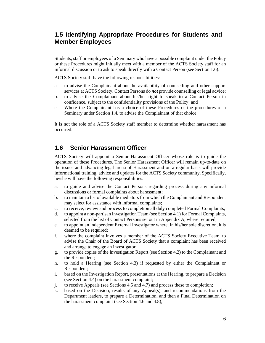## **1.5 Identifying Appropriate Procedures for Students and Member Employees**

Students, staff or employees of a Seminary who have a possible complaint under the Policy or these Procedures might initially meet with a member of the ACTS Society staff for an informal discussion or to ask to speak directly with a Contact Person (see Section 1.6).

ACTS Society staff have the following responsibilities:

- a. to advise the Complainant about the availability of counselling and other support services at ACTS Society. Contact Persons do *not* provide counselling or legal advice;
- b. to advise the Complainant about his/her right to speak to a Contact Person in confidence, subject to the confidentiality provisions of the Policy; and
- c. Where the Complainant has a choice of these Procedures or the procedures of a Seminary under Section 1.4, to advise the Complainant of that choice.

It is not the role of a ACTS Society staff member to determine whether harassment has occurred.

#### **1.6 Senior Harassment Officer**

ACTS Society will appoint a Senior Harassment Officer whose role is to guide the operation of these Procedures. The Senior Harassment Officer will remain up-to-date on the issues and advancing legal arena of Harassment and on a regular basis will provide informational training, advice and updates for the ACTS Society community. Specifically, he/she will have the following responsibilities:

- a. to guide and advise the Contact Persons regarding process during any informal discussions or formal complaints about harassment;
- b. to maintain a list of available mediators from which the Complainant and Respondent may select for assistance with informal complaints;
- c. to receive, review and process to completion all duly completed Formal Complaints;
- d. to appoint a non-partisan Investigation Team (see Section 4.1) for Formal Complaints, selected from the list of Contact Persons set out in Appendix A, where required;
- e. to appoint an independent External Investigator where, in his/her sole discretion, it is deemed to be required;
- f. where the complaint involves a member of the ACTS Society Executive Team, to advise the Chair of the Board of ACTS Society that a complaint has been received and arrange to engage an investigator.
- g. to provide copies of the Investigation Report (see Section 4.2) to the Complainant and the Respondent;
- h. to hold a Hearing (see Section 4.3) if requested by either the Complainant or Respondent;
- i. based on the Investigation Report, presentations at the Hearing, to prepare a Decision (see Section 4.4) on the harassment complaint;
- j. to receive Appeals (see Sections 4.5 and 4.7) and process these to completion;
- k. based on the Decision, results of any Appeal(s), and recommendations from the Department leaders, to prepare a Determination, and then a Final Determination on the harassment complaint (see Section 4.6 and 4.8);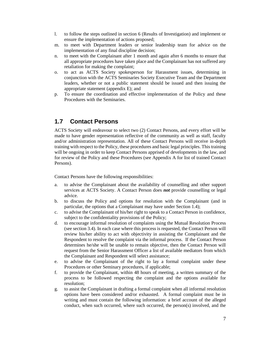- l. to follow the steps outlined in section 6 (Results of Investigation) and implement or ensure the implementation of actions proposed;
- m. to meet with Department leaders or senior leadership team for advice on the implementation of any final discipline decision;
- n. to meet with the Complainant after 1 month and again after 6 months to ensure that all appropriate procedures have taken place and the Complainant has not suffered any retaliation for making the complaint;
- o. to act as ACTS Society spokesperson for Harassment issues, determining in conjunction with the ACTS Seminaries Society Executive Team and the Department leaders, whether or not a public statement should be issued and then issuing the appropriate statement (appendix E); and
- p. To ensure the coordination and effective implementation of the Policy and these Procedures with the Seminaries.

#### **1.7 Contact Persons**

ACTS Society will endeavour to select two (2) Contact Persons, and every effort will be made to have gender representation reflective of the community as well as staff, faculty and/or administration representation. All of these Contact Persons will receive in-depth training with respect to the Policy, these procedures and basic legal principles. This training will be ongoing in order to keep Contact Persons apprised of developments in the law, and for review of the Policy and these Procedures (see Appendix A for list of trained Contact Persons).

Contact Persons have the following responsibilities:

- a. to advise the Complainant about the availability of counselling and other support services at ACTS Society. A Contact Person does *not* provide counselling or legal advice.
- b. to discuss the Policy and options for resolution with the Complainant (and in particular, the options that a Complainant may have under Section 1.4);
- c. to advise the Complainant of his/her right to speak to a Contact Person in confidence, subject to the confidentiality provisions of the Policy;
- d. to encourage informal resolution of complaints using the Mutual Resolution Process (see section 3.4). In each case where this process is requested, the Contact Person will review his/her ability to act with objectivity in assisting the Complainant and the Respondent to resolve the complaint via the informal process. If the Contact Person determines he/she will be unable to remain objective, then the Contact Person will request from the Senior Harassment Officer a list of available mediators from which the Complainant and Respondent will select assistance;
- e. to advise the Complainant of the right to lay a formal complaint under these Procedures or other Seminary procedures, if applicable;
- f. to provide the Complainant, within 48 hours of meeting, a written summary of the process to be followed respecting the complaint and the options available for resolution;
- g. to assist the Complainant in drafting a formal complaint when all informal resolution options have been considered and/or exhausted. A formal complaint must be in writing and must contain the following information: a brief account of the alleged conduct, when such occurred, where such occurred, the person(s) involved, and the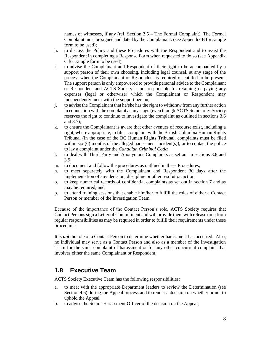names of witnesses, if any (ref. Section 3.5 – The Formal Complaint). The Formal Complaint must be signed and dated by the Complainant. (see Appendix B for sample form to be used);

- h. to discuss the Policy and these Procedures with the Respondent and to assist the Respondent in completing a Response Form when requested to do so (see Appendix C for sample form to be used);
- i. to advise the Complainant and Respondent of their right to be accompanied by a support person of their own choosing, including legal counsel, at any stage of the process when the Complainant or Respondent is required or entitled to be present. The support person is only empowered to provide personal advice to the Complainant or Respondent and ACTS Society is not responsible for retaining or paying any expenses (legal or otherwise) which the Complainant or Respondent may independently incur with the support person;
- j. to advise the Complainant that he/she has the right to withdraw from any further action in connection with the complaint at any stage (even though ACTS Seminaries Society reserves the right to continue to investigate the complaint as outlined in sections 3.6 and 3.7);
- k. to ensure the Complainant is aware that other avenues of recourse exist, including a right, where appropriate, to file a complaint with the British Columbia Human Rights Tribunal (in the case of the BC Human Rights Tribunal, complaints must be filed within six (6) months of the alleged harassment incident(s)), or to contact the police to lay a complaint under the *Canadian Criminal Code*;
- l. to deal with Third Party and Anonymous Complaints as set out in sections 3.8 and 3.9;
- m. to document and follow the procedures as outlined in these Procedures;
- n. to meet separately with the Complainant and Respondent 30 days after the implementation of any decision, discipline or other resolution action;
- o. to keep numerical records of confidential complaints as set out in section 7 and as may be required; and
- p. to attend training sessions that enable him/her to fulfill the roles of either a Contact Person or member of the Investigation Team.

Because of the importance of the Contact Person's role, ACTS Society requires that Contact Persons sign a Letter of Commitment and will provide them with release time from regular responsibilities as may be required in order to fulfill their requirements under these procedures.

It is *not* the role of a Contact Person to determine whether harassment has occurred. Also, no individual may serve as a Contact Person and also as a member of the Investigation Team for the same complaint of harassment or for any other concurrent complaint that involves either the same Complainant or Respondent.

### **1.8 Executive Team**

ACTS Society Executive Team has the following responsibilities:

- a. to meet with the appropriate Department leaders to review the Determination (see Section 4.6) during the Appeal process and to render a decision on whether or not to uphold the Appeal
- b. to advise the Senior Harassment Officer of the decision on the Appeal;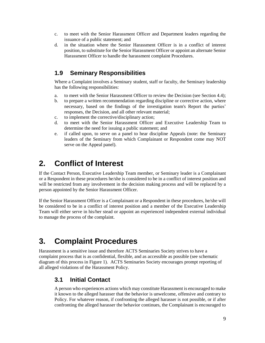- c. to meet with the Senior Harassment Officer and Department leaders regarding the issuance of a public statement; and
- d. in the situation where the Senior Harassment Officer is in a conflict of interest position, to substitute for the Senior Harassment Officer or appoint an alternate Senior Harassment Officer to handle the harassment complaint Procedures.

## **1.9 Seminary Responsibilities**

Where a Complaint involves a Seminary student, staff or faculty, the Seminary leadership has the following responsibilities:

- a. to meet with the Senior Harassment Officer to review the Decision (see Section 4.4);
- b. to prepare a written recommendation regarding discipline or corrective action, where necessary, based on the findings of the investigation team's Report the parties' responses, the Decision, and all other relevant material;
- c. to implement the corrective/disciplinary action;
- d. to meet with the Senior Harassment Officer and Executive Leadership Team to determine the need for issuing a public statement; and
- e. if called upon, to serve on a panel to hear discipline Appeals (note: the Seminary leaders of the Seminary from which Complainant or Respondent come may NOT serve on the Appeal panel).

## **2. Conflict of Interest**

If the Contact Person, Executive Leadership Team member, or Seminary leader is a Complainant or a Respondent in these procedures he/she is considered to be in a conflict of interest position and will be restricted from any involvement in the decision making process and will be replaced by a person appointed by the Senior Harassment Officer.

If the Senior Harassment Officer is a Complainant or a Respondent in these procedures, he/she will be considered to be in a conflict of interest position and a member of the Executive Leadership Team will either serve in his/her stead or appoint an experienced independent external individual to manage the process of the complaint.

# **3. Complaint Procedures**

Harassment is a sensitive issue and therefore ACTS Seminaries Society strives to have a complaint process that is as confidential, flexible, and as accessible as possible (see schematic diagram of this process in Figure 1). ACTS Seminaries Society encourages prompt reporting of all alleged violations of the Harassment Policy.

### **3.1 Initial Contact**

A person who experiences actions which may constitute Harassment is encouraged to make it known to the alleged harasser that the behavior is unwelcome, offensive and contrary to Policy. For whatever reason, if confronting the alleged harasser is not possible, or if after confronting the alleged harasser the behavior continues, the Complainant is encouraged to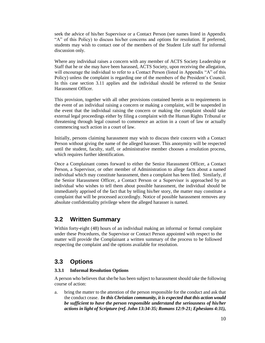seek the advice of his/her Supervisor or a Contact Person (see names listed in Appendix "A" of this Policy) to discuss his/her concerns and options for resolution. If preferred, students may wish to contact one of the members of the Student Life staff for informal discussion only.

Where any individual raises a concern with any member of ACTS Society Leadership or Staff that he or she may have been harassed, ACTS Society, upon receiving the allegation, will encourage the individual to refer to a Contact Person (listed in Appendix "A" of this Policy) unless the complaint is regarding one of the members of the President's Council. In this case section 3.11 applies and the individual should be referred to the Senior Harassment Officer.

This provision, together with all other provisions contained herein as to requirements in the event of an individual raising a concern or making a complaint, will be suspended in the event that the individual raising the concern or making the complaint should take external legal proceedings either by filing a complaint with the Human Rights Tribunal or threatening through legal counsel to commence an action in a court of law or actually commencing such action in a court of law.

Initially, persons claiming harassment may wish to discuss their concern with a Contact Person without giving the name of the alleged harasser. This anonymity will be respected until the student, faculty, staff, or administrative member chooses a resolution process, which requires further identification.

Once a Complainant comes forward to either the Senior Harassment Officer, a Contact Person, a Supervisor, or other member of Administration to allege facts about a named individual which may constitute harassment, then a complaint has been filed. Similarly, if the Senior Harassment Officer, a Contact Person or a Supervisor is approached by an individual who wishes to tell them about possible harassment, the individual should be immediately apprised of the fact that by telling his/her story, the matter may constitute a complaint that will be processed accordingly. Notice of possible harassment removes any absolute confidentiality privilege where the alleged harasser is named.

### **3.2 Written Summary**

Within forty-eight (48) hours of an individual making an informal or formal complaint under these Procedures, the Supervisor or Contact Person appointed with respect to the matter will provide the Complainant a written summary of the process to be followed respecting the complaint and the options available for resolution.

### **3.3 Options**

#### **3.3.1 Informal Resolution Options**

A person who believes that she/he has been subject to harassment should take the following course of action:

a. bring the matter to the attention of the person responsible for the conduct and ask that the conduct cease. *In this Christian community, it is expected that this action would be sufficient to have the person responsible understand the seriousness of his/her actions in light of Scripture (ref. John 13:34-35; Romans 12:9-21; Ephesians 4:31),*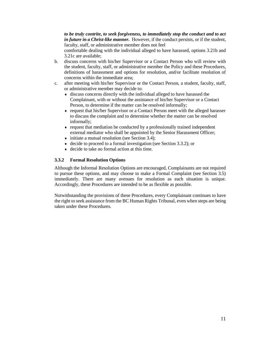*to be truly contrite, to seek forgiveness, to immediately stop the conduct and to act in future in a Christ-like manner.* However, if the conduct persists, or if the student, faculty, staff, or administrative member does not feel

comfortable dealing with the individual alleged to have harassed, options 3.21b and 3.21c are available;

- b. discuss concerns with his/her Supervisor or a Contact Person who will review with the student, faculty, staff, or administrative member the Policy and these Procedures, definitions of harassment and options for resolution, and/or facilitate resolution of concerns within the immediate area;
- c. after meeting with his/her Supervisor or the Contact Person, a student, faculty, staff, or administrative member may decide to:
	- discuss concerns directly with the individual alleged to have harassed the Complainant, with or without the assistance of his/her Supervisor or a Contact Person, to determine if the matter can be resolved informally;
	- request that his/her Supervisor or a Contact Person meet with the alleged harasser to discuss the complaint and to determine whether the matter can be resolved informally;
	- request that mediation be conducted by a professionally trained independent external mediator who shall be appointed by the Senior Harassment Officer;
	- $\bullet$  initiate a mutual resolution (see Section 3.4);
	- $\bullet$  decide to proceed to a formal investigation (see Section 3.3.2); or
	- decide to take no formal action at this time.

#### **3.3.2 Formal Resolution Options**

Although the Informal Resolution Options are encouraged, Complainants are not required to pursue these options, and may choose to make a Formal Complaint (see Section 3.5) immediately. There are many avenues for resolution as each situation is unique. Accordingly, these Procedures are intended to be as flexible as possible.

Notwithstanding the provisions of these Procedures, every Complainant continues to have the right to seek assistance from the BC Human Rights Tribunal, even when steps are being taken under these Procedures*.*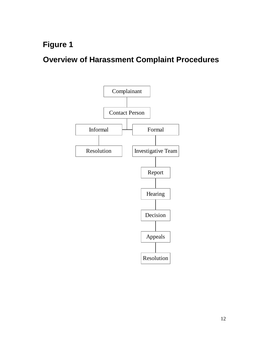**Figure 1** 

**Overview of Harassment Complaint Procedures**

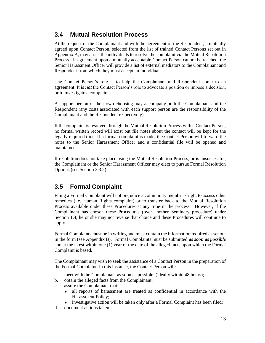### **3.4 Mutual Resolution Process**

At the request of the Complainant and with the agreement of the Respondent, a mutually agreed upon Contact Person, selected from the list of trained Contact Persons set out in Appendix A, may assist the individuals to resolve the complaint via the Mutual Resolution Process. If agreement upon a mutually acceptable Contact Person cannot be reached, the Senior Harassment Officer will provide a list of external mediators to the Complainant and Respondent from which they must accept an individual.

The Contact Person's role is to help the Complainant and Respondent come to an agreement. It is *not* the Contact Person's role to advocate a position or impose a decision, or to investigate a complaint.

A support person of their own choosing may accompany both the Complainant and the Respondent (any costs associated with each support person are the responsibility of the Complainant and the Respondent respectively).

If the complaint is resolved through the Mutual Resolution Process with a Contact Person, no formal written record will exist but file notes about the contact will be kept for the legally required time. If a formal complaint is made, the Contact Person will forward the notes to the Senior Harassment Officer and a confidential file will be opened and maintained.

If resolution does not take place using the Mutual Resolution Process, or is unsuccessful, the Complainant or the Senior Harassment Officer may elect to pursue Formal Resolution Options (see Section 3.3.2).

## **3.5 Formal Complaint**

Filing a Formal Complaint will not prejudice a community member's right to access other remedies (i.e. Human Rights complaint) or to transfer back to the Mutual Resolution Process available under these Procedures at any time in the process. However, if the Complainant has chosen these Procedures (over another Seminary procedure) under Section 1.4, he or she may not reverse that choice and these Procedures will continue to apply.

Formal Complaints must be in writing and must contain the information required as set out in the form (see Appendix B). Formal Complaints must be submitted *as soon as possible* and at the latest within one (1) year of the date of the alleged facts upon which the Formal Complaint is based.

The Complainant may wish to seek the assistance of a Contact Person in the preparation of the Formal Complaint. In this instance, the Contact Person will:

- a. meet with the Complainant as soon as possible, (ideally within 48 hours);
- b. obtain the alleged facts from the Complainant;
- c. assure the Complainant that:
	- all reports of harassment are treated as confidential in accordance with the Harassment Policy;
	- investigative action will be taken only after a Formal Complaint has been filed;
- d. document actions taken;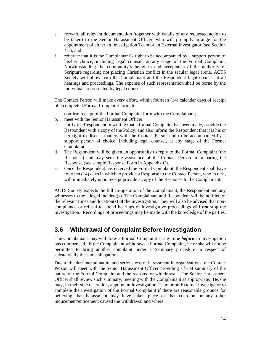- e. forward all relevant documentation (together with details of any requested action to be taken) to the Senior Harassment Officer, who will promptly arrange for the appointment of either an Investigation Team or an External Investigator (see Section 4.1); and
- f. reiterate that it is the Complainant's right to be accompanied by a support person of his/her choice, including legal counsel, at any stage of the Formal Complaint. Notwithstanding the community's belief in and acceptance of the authority of Scripture regarding not placing Christian conflict in the secular legal arena, ACTS Society will allow both the Complainant and the Respondent legal counsel at all hearings and proceedings. The expense of such representation shall be borne by the individuals represented by legal counsel.

The Contact Person will make every effort, within fourteen (14) calendar days of receipt of a completed Formal Complaint form, to:

- a. confirm receipt of the Formal Complaint form with the Complainant;
- b. meet with the Senior Harassment Officer;
- c. notify the Respondent in writing that a formal Complaint has been made, provide the Respondent with a copy of the Policy, and also inform the Respondent that it is his or her right to discuss matters with the Contact Person and to be accompanied by a support person of choice, including legal counsel, at any stage of the Formal Complaint.
- d. The Respondent will be given an opportunity to reply to the Formal Complaint (the Response) and may seek the assistance of the Contact Person in preparing the Response (see sample Response Form in Appendix C).
- e. Once the Respondent has received the Formal Complaint, the Respondent shall have fourteen (14) days in which to provide a Response to the Contact Person, who in turn, will immediately upon receipt provide a copy of the Response to the Complainant.

ACTS Society expects the full co-operation of the Complainant, the Respondent and any witnesses to the alleged incident(s). The Complainant and Respondent will be notified of the relevant times and location(s) of the investigation. They will also be advised that noncompliance or refusal to attend hearings or investigative proceedings will *not* stop the investigation. Recordings of proceedings may be made with the knowledge of the parties.

## **3.6 Withdrawal of Complaint Before Investigation**

The Complainant may withdraw a Formal Complaint at any time *before* an investigation has commenced. If the Complainant withdraws a Formal Complaint, he or she will not be permitted to bring another complaint under a Seminary procedure in respect of substantially the same allegations.

Due to the detrimental nature and seriousness of harassment in organizations, the Contact Person will meet with the Senior Harassment Officer providing a brief summary of the nature of the Formal Complaint and the reasons for withdrawal. The Senior Harassment Officer shall review such summary, meeting with the Complainant as appropriate. He/she may, in their sole discretion, appoint an Investigation Team or an External Investigator to complete the investigation of the Formal Complaint if there are reasonable grounds for believing that harassment may have taken place or that coercion or any other inducement/enticement caused the withdrawal and where: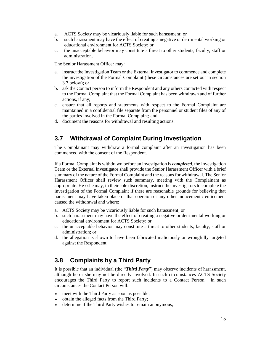- a. ACTS Society may be vicariously liable for such harassment; or
- b. such harassment may have the effect of creating a negative or detrimental working or educational environment for ACTS Society; or
- c. the unacceptable behavior may constitute a threat to other students, faculty, staff or administration.

The Senior Harassment Officer may:

- a. instruct the Investigation Team or the External Investigator to commence and complete the investigation of the Formal Complaint (these circumstances are set out in section 3.7 below); or
- b. ask the Contact person to inform the Respondent and any others contacted with respect to the Formal Complaint that the Formal Complaint has been withdrawn and of further actions, if any;
- c. ensure that all reports and statements with respect to the Formal Complaint are maintained in a confidential file separate from the personnel or student files of any of the parties involved in the Formal Complaint; and
- d. document the reasons for withdrawal and resulting actions.

## **3.7 Withdrawal of Complaint During Investigation**

The Complainant may withdraw a formal complaint after an investigation has been commenced with the consent of the Respondent.

If a Formal Complaint is withdrawn before an investigation is *completed*, the Investigation Team or the External Investigator shall provide the Senior Harassment Officer with a brief summary of the nature of the Formal Complaint and the reasons for withdrawal. The Senior Harassment Officer shall review such summary, meeting with the Complainant as appropriate. He / she may, in their sole discretion, instruct the investigators to complete the investigation of the Formal Complaint if there are reasonable grounds for believing that harassment may have taken place or that coercion or any other inducement / enticement caused the withdrawal and where:

- a. ACTS Society may be vicariously liable for such harassment; or
- b. such harassment may have the effect of creating a negative or detrimental working or educational environment for ACTS Society; or
- c. the unacceptable behavior may constitute a threat to other students, faculty, staff or administration; or
- d. the allegation is shown to have been fabricated maliciously or wrongfully targeted against the Respondent.

### **3.8 Complaints by a Third Party**

It is possible that an individual (the "*Third Party*") may observe incidents of harassment, although he or she may not be directly involved. In such circumstances ACTS Society encourages the Third Party to report such incidents to a Contact Person. In such circumstances the Contact Person will:

- meet with the Third Party as soon as possible;
- obtain the alleged facts from the Third Party;
- determine if the Third Party wishes to remain anonymous;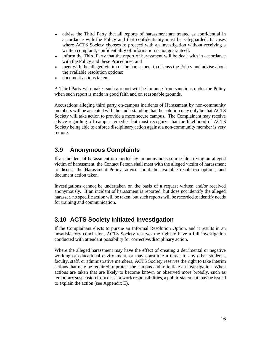- advise the Third Party that all reports of harassment are treated as confidential in accordance with the Policy and that confidentiality must be safeguarded. In cases where ACTS Society chooses to proceed with an investigation without receiving a written complaint, confidentiality of information is not guaranteed;
- inform the Third Party that the report of harassment will be dealt with in accordance with the Policy and these Procedures; and
- meet with the alleged victim of the harassment to discuss the Policy and advise about the available resolution options;
- document actions taken.

A Third Party who makes such a report will be immune from sanctions under the Policy when such report is made in good faith and on reasonable grounds.

Accusations alleging third party on-campus incidents of Harassment by non-community members will be accepted with the understanding that the solution may only be that ACTS Society will take action to provide a more secure campus. The Complainant may receive advice regarding off campus remedies but must recognize that the likelihood of ACTS Society being able to enforce disciplinary action against a non-community member is very remote.

## **3.9 Anonymous Complaints**

If an incident of harassment is reported by an anonymous source identifying an alleged victim of harassment, the Contact Person shall meet with the alleged victim of harassment to discuss the Harassment Policy, advise about the available resolution options, and document action taken.

Investigations cannot be undertaken on the basis of a request written and/or received anonymously. If an incident of harassment is reported, but does not identify the alleged harasser, no specific action will be taken, but such reports will be recorded to identify needs for training and communication.

## **3.10 ACTS Society Initiated Investigation**

If the Complainant elects to pursue an Informal Resolution Option, and it results in an unsatisfactory conclusion, ACTS Society reserves the right to have a full investigation conducted with attendant possibility for corrective/disciplinary action.

Where the alleged harassment may have the effect of creating a detrimental or negative working or educational environment, or may constitute a threat to any other students, faculty, staff, or administrative members, ACTS Society reserves the right to take interim actions that may be required to protect the campus and to initiate an investigation. When actions are taken that are likely to become known or observed more broadly, such as temporary suspension from class or work responsibilities, a public statement may be issued to explain the action (see Appendix E).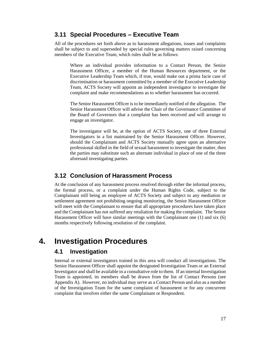#### **3.11 Special Procedures – Executive Team**

All of the procedures set forth above as to harassment allegations, issues and complaints shall be subject to and superseded by special rules governing matters raised concerning members of the Executive Team, which rules shall be as follows:

Where an individual provides information to a Contact Person, the Senior Harassment Officer, a member of the Human Resources department, or the Executive Leadership Team which, if true, would make out a prima facie case of discrimination or harassment committed by a member of the Executive Leadership Team, ACTS Society will appoint an independent investigator to investigate the complaint and make recommendations as to whether harassment has occurred.

The Senior Harassment Officer is to be immediately notified of the allegation. The Senior Harassment Officer will advise the Chair of the Governance Committee of the Board of Governors that a complaint has been received and will arrange to engage an investigator.

The investigator will be, at the option of ACTS Society, one of three External Investigators in a list maintained by the Senior Harassment Officer. However, should the Complainant and ACTS Society mutually agree upon an alternative professional skilled in the field of sexual harassment to investigate the matter, then the parties may substitute such an alternate individual in place of one of the three aforesaid investigating parties.

### **3.12 Conclusion of Harassment Process**

At the conclusion of any harassment process resolved through either the informal process, the formal process, or a complaint under the Human Rights Code, subject to the Complainant still being an employee of ACTS Society and subject to any mediation or settlement agreement not prohibiting ongoing monitoring, the Senior Harassment Officer will meet with the Complainant to ensure that all appropriate procedures have taken place and the Complainant has not suffered any retaliation for making the complaint. The Senior Harassment Officer will have similar meetings with the Complainant one (1) and six (6) months respectively following resolution of the complaint.

## **4. Investigation Procedures**

#### **4.1 Investigation**

Internal or external investigators trained in this area will conduct all investigations. The Senior Harassment Officer shall appoint the designated Investigation Team or an External Investigator and shall be available in a consultative role to them. If an internal Investigation Team is appointed, its members shall be drawn from the list of Contact Persons (see Appendix A). However, no individual may serve as a Contact Person and also as a member of the Investigation Team for the same complaint of harassment or for any concurrent complaint that involves either the same Complainant or Respondent.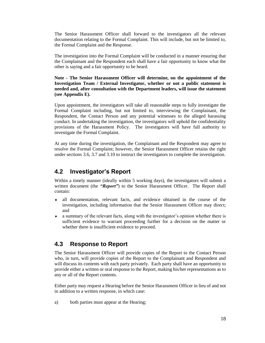The Senior Harassment Officer shall forward to the investigators all the relevant documentation relating to the Formal Complaint. This will include, but not be limited to, the Formal Complaint and the Response.

The investigation into the Formal Complaint will be conducted in a manner ensuring that the Complainant and the Respondent each shall have a fair opportunity to know what the other is saying and a fair opportunity to be heard.

**Note - The Senior Harassment Officer will determine, on the appointment of the Investigation Team / External Investigator, whether or not a public statement is needed and, after consultation with the Department leaders, will issue the statement (see Appendix E).**

Upon appointment, the investigators will take all reasonable steps to fully investigate the Formal Complaint including, but not limited to, interviewing the Complainant, the Respondent, the Contact Person and any potential witnesses to the alleged harassing conduct. In undertaking the investigation, the investigators will uphold the confidentiality provisions of the Harassment Policy. The investigators will have full authority to investigate the Formal Complaint.

At any time during the investigation, the Complainant and the Respondent may agree to resolve the Formal Complaint; however, the Senior Harassment Officer retains the right under sections 3.6, 3.7 and 3.10 to instruct the investigators to complete the investigation.

### **4.2 Investigator's Report**

Within a timely manner (ideally within 5 working days), the investigators will submit a written document (the "*Report*") to the Senior Harassment Officer. The Report shall contain:

- all documentation, relevant facts, and evidence obtained in the course of the investigation, including information that the Senior Harassment Officer may direct; and
- a summary of the relevant facts, along with the investigator's opinion whether there is sufficient evidence to warrant proceeding further for a decision on the matter or whether there is insufficient evidence to proceed.

#### **4.3 Response to Report**

The Senior Harassment Officer will provide copies of the Report to the Contact Person who, in turn, will provide copies of the Report to the Complainant and Respondent and will discuss its contents with each party privately. Each party shall have an opportunity to provide either a written or oral response to the Report, making his/her representations as to any or all of the Report contents.

Either party may request a Hearing before the Senior Harassment Officer in lieu of and not in addition to a written response, in which case:

a) both parties must appear at the Hearing;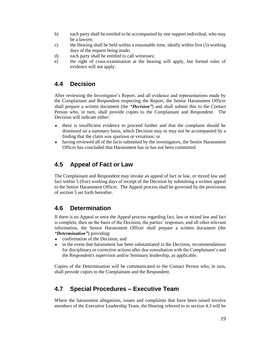- b) each party shall be entitled to be accompanied by one support individual, who may be a lawyer;
- c) the Hearing shall be held within a reasonable time, ideally within five (5) working days of the request being made;
- d) each party shall be entitled to call witnesses;
- e) the right of cross-examination at the hearing will apply, but formal rules of evidence will not apply.

### **4.4 Decision**

After reviewing the Investigator's Report, and all evidence and representations made by the Complainant and Respondent respecting the Report, the Senior Harassment Officer shall prepare a written document (the *"Decision"*) and shall submit this to the Contact Person who, in turn, shall provide copies to the Complainant and Respondent. The Decision will indicate either:

- there is insufficient evidence to proceed further and that the complaint should be dismissed on a summary basis, which Decision may or may not be accompanied by a finding that the claim was spurious or vexatious; or
- having reviewed all of the facts submitted by the investigators, the Senior Harassment Officer has concluded that Harassment has or has not been committed.

## **4.5 Appeal of Fact or Law**

The Complainant and Respondent may invoke an appeal of fact or law, or mixed law and fact within 5 (five) working days of receipt of the Decision by submitting a written appeal to the Senior Harassment Officer. The Appeal process shall be governed by the provisions of section 5 set forth hereafter.

## **4.6 Determination**

If there is no Appeal or once the Appeal process regarding fact, law or mixed law and fact is complete, then on the basis of the Decision, the parties' responses, and all other relevant information, the Senior Harassment Officer shall prepare a written document (the *"Determination"*) providing:

- confirmation of the Decision: and
- in the event that harassment has been substantiated in the Decision, recommendations for disciplinary or corrective actions after due consultation with the Complainant's and the Respondent's supervisor and/or Seminary leadership, as applicable.

Copies of the Determination will be communicated to the Contact Person who, in turn, shall provide copies to the Complainant and the Respondent.

## **4.7 Special Procedures – Executive Team**

Where the harassment allegations, issues and complaints that have been raised involve members of the Executive Leadership Team, the Hearing referred to in section 4.3 will be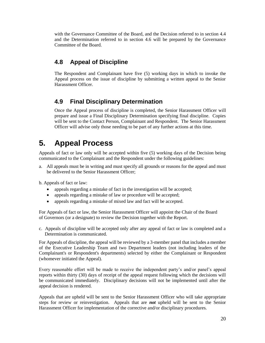with the Governance Committee of the Board, and the Decision referred to in section 4.4 and the Determination referred to in section 4.6 will be prepared by the Governance Committee of the Board.

## **4.8 Appeal of Discipline**

The Respondent and Complainant have five (5) working days in which to invoke the Appeal process on the issue of discipline by submitting a written appeal to the Senior Harassment Officer.

## **4.9 Final Disciplinary Determination**

Once the Appeal process of discipline is completed, the Senior Harassment Officer will prepare and issue a Final Disciplinary Determination specifying final discipline. Copies will be sent to the Contact Person, Complainant and Respondent. The Senior Harassment Officer will advise only those needing to be part of any further actions at this time.

## **5. Appeal Process**

Appeals of fact or law only will be accepted within five (5) working days of the Decision being communicated to the Complainant and the Respondent under the following guidelines:

a. All appeals must be in writing and must specify all grounds or reasons for the appeal and must be delivered to the Senior Harassment Officer;

b. Appeals of fact or law:

- appeals regarding a mistake of fact in the investigation will be accepted;
- appeals regarding a mistake of law or procedure will be accepted;
- appeals regarding a mistake of mixed law and fact will be accepted.

For Appeals of fact or law, the Senior Harassment Officer will appoint the Chair of the Board of Governors (or a designate) to review the Decision together with the Report.

c. Appeals of discipline will be accepted only after any appeal of fact or law is completed and a Determination is communicated.

For Appeals of discipline, the appeal will be reviewed by a 3-member panel that includes a member of the Executive Leadership Team and two Department leaders (not including leaders of the Complainant's or Respondent's departments) selected by either the Complainant or Respondent (whomever initiated the Appeal).

Every reasonable effort will be made to receive the independent party's and/or panel's appeal reports within thirty (30) days of receipt of the appeal request following which the decisions will be communicated immediately. Disciplinary decisions will not be implemented until after the appeal decision is rendered.

Appeals that are upheld will be sent to the Senior Harassment Officer who will take appropriate steps for review or reinvestigation. Appeals that are *not* upheld will be sent to the Senior Harassment Officer for implementation of the corrective and/or disciplinary procedures.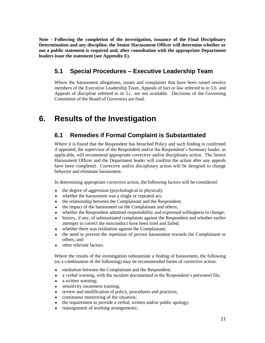**Note - Following the completion of the investigation, issuance of the Final Disciplinary Determination and any discipline, the Senior Harassment Officer will determine whether or not a public statement is required and, after consultation with the appropriate Department leaders issue the statement (see Appendix E).**

## **5.1 Special Procedures – Executive Leadership Team**

Where the harassment allegations, issues and complaints that have been raised involve members of the Executive Leadership Team, Appeals of fact or law referred to in 5.b. and Appeals of discipline referred to in 5.c. are not available. Decisions of the Governing Committee of the Board of Governors are final.

## **6. Results of the Investigation**

### **6.1 Remedies if Formal Complaint is Substantiated**

Where it is found that the Respondent has breached Policy and such finding is confirmed if appealed, the supervisor of the Respondent and/or the Respondent's Seminary leader, as applicable, will recommend appropriate corrective and/or disciplinary action. The Senior Harassment Officer and the Department leader will confirm the action after any appeals have been completed. Corrective and/or disciplinary action will be designed to change behavior and eliminate harassment.

In determining appropriate corrective action, the following factors will be considered:

- $\bullet$  the degree of aggression (psychological or physical);
- whether the harassment was a single or repeated act;
- $\bullet$  the relationship between the Complainant and the Respondent;
- $\bullet$  the impact of the harassment on the Complainant and others;
- whether the Respondent admitted responsibility and expressed willingness to change;
- history, if any, of substantiated complaints against the Respondent and whether earlier attempts to correct the misconduct have been tried and failed;
- whether there was retaliation against the Complainant;
- the need to prevent the repetition of proven harassment towards the Complainant or others; and
- other relevant factors.

Where the results of the investigation substantiate a finding of harassment, the following (or a combination of the following) may be recommended forms of corrective action:

- mediation between the Complainant and the Respondent;
- a verbal warning, with the incident documented in the Respondent's personnel file;
- a written warning;
- sensitivity awareness training;
- review and modification of policy, procedures and practices;
- continuous monitoring of the situation;
- the requirement to provide a verbal, written and/or public apology;
- reassignment of working arrangements;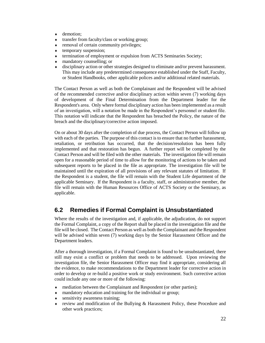- demotion;
- transfer from faculty/class or working group;
- removal of certain community privileges;
- $\leftarrow$  temporary suspension;
- termination of employment or expulsion from ACTS Seminaries Society;
- mandatory counselling; or
- disciplinary action or other strategies designed to eliminate and/or prevent harassment. This may include any predetermined consequence established under the Staff, Faculty, or Student Handbooks, other applicable polices and/or additional related materials.

The Contact Person as well as both the Complainant and the Respondent will be advised of the recommended corrective and/or disciplinary action within seven (7) working days of development of the Final Determination from the Department leader for the Respondent's area. Only where formal disciplinary action has been implemented as a result of an investigation, will a notation be made in the Respondent's personnel or student file. This notation will indicate that the Respondent has breached the Policy, the nature of the breach and the disciplinary/corrective action imposed.

On or about 30 days after the completion of due process, the Contact Person will follow up with each of the parties. The purpose of this contact is to ensure that no further harassment, retaliation, or retribution has occurred, that the decision/resolution has been fully implemented and that restoration has begun. A further report will be completed by the Contact Person and will be filed with the other materials. The investigation file will remain open for a reasonable period of time to allow for the monitoring of actions to be taken and subsequent reports to be placed in the file as appropriate. The investigation file will be maintained until the expiration of all provisions of any relevant statutes of limitation. If the Respondent is a student, the file will remain with the Student Life department of the applicable Seminary. If the Respondent is a faculty, staff, or administrative member, the file will remain with the Human Resources Office of ACTS Society or the Seminary, as applicable.

## **6.2 Remedies if Formal Complaint is Unsubstantiated**

Where the results of the investigation and, if applicable, the adjudication, do not support the Formal Complaint, a copy of the Report shall be placed in the investigation file and the file will be closed. The Contact Person as well as both the Complainant and the Respondent will be advised within seven (7) working days by the Senior Harassment Officer and the Department leaders.

After a thorough investigation, if a Formal Complaint is found to be unsubstantiated, there still may exist a conflict or problem that needs to be addressed. Upon reviewing the investigation file, the Senior Harassment Officer may find it appropriate, considering all the evidence, to make recommendations to the Department leader for corrective action in order to develop or re-build a positive work or study environment. Such corrective action could include any one or more of the following:

- mediation between the Complainant and Respondent (or other parties);
- mandatory education and training for the individual or group;
- sensitivity awareness training;
- review and modification of the Bullying & Harassment Policy, these Procedure and other work practices;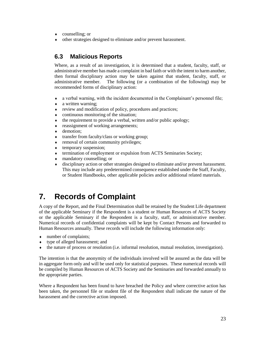- counselling; or
- other strategies designed to eliminate and/or prevent harassment.

## **6.3 Malicious Reports**

Where, as a result of an investigation, it is determined that a student, faculty, staff, or administrative member has made a complaint in bad faith or with the intent to harm another, then formal disciplinary action may be taken against that student, faculty, staff, or administrative member. The following (or a combination of the following) may be recommended forms of disciplinary action:

- a verbal warning, with the incident documented in the Complainant's personnel file;
- a written warning;
- review and modification of policy, procedures and practices;
- continuous monitoring of the situation;
- $\bullet$  the requirement to provide a verbal, written and/or public apology;
- reassignment of working arrangements;
- demotion:
- transfer from faculty/class or working group;
- removal of certain community privileges;
- temporary suspension;
- termination of employment or expulsion from ACTS Seminaries Society;
- mandatory counselling; or
- disciplinary action or other strategies designed to eliminate and/or prevent harassment. This may include any predetermined consequence established under the Staff, Faculty, or Student Handbooks, other applicable policies and/or additional related materials.

## **7. Records of Complaint**

A copy of the Report, and the Final Determination shall be retained by the Student Life department of the applicable Seminary if the Respondent is a student or Human Resources of ACTS Society or the applicable Seminary if the Respondent is a faculty, staff, or administrative member. Numerical records of confidential complaints will be kept by Contact Persons and forwarded to Human Resources annually. These records will include the following information only:

- number of complaints;
- type of alleged harassment; and
- the nature of process or resolution (i.e. informal resolution, mutual resolution, investigation).

The intention is that the anonymity of the individuals involved will be assured as the data will be in aggregate form only and will be used only for statistical purposes. These numerical records will be compiled by Human Resources of ACTS Society and the Seminaries and forwarded annually to the appropriate parties.

Where a Respondent has been found to have breached the Policy and where corrective action has been taken, the personnel file or student file of the Respondent shall indicate the nature of the harassment and the corrective action imposed.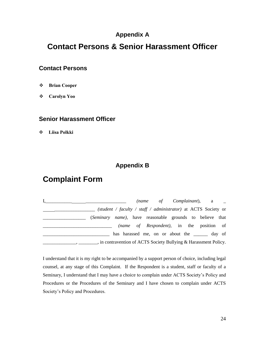## **Appendix A**

## **Contact Persons & Senior Harassment Officer**

#### **Contact Persons**

- **Brian Cooper**
- **Carolyn Yoo**

#### **Senior Harassment Officer**

**Liisa Polkki** 

## **Appendix B**

## **Complaint Form**

I,\_\_\_\_\_\_\_\_\_\_\_ \_\_\_\_\_\_\_\_\_\_\_\_\_\_\_\_\_ *(name of Complainant*), a \_ \_\_\_\_\_\_\_\_\_\_\_\_\_\_\_\_\_ *(student / faculty / staff / administrator)* at ACTS Society or \_\_\_\_\_\_\_\_\_\_\_\_\_\_\_\_\_\_ (*Seminary name)*, have reasonable grounds to believe that \_\_\_\_\_\_\_\_\_\_\_\_\_\_\_\_\_\_\_\_\_\_\_\_\_\_\_\_\_ *(name of Respondent)*, in the position of has harassed me, on or about the day of **\_\_\_\_\_\_\_**, \_\_\_\_\_\_\_\_, in contravention of ACTS Society Bullying & Harassment Policy.

I understand that it is my right to be accompanied by a support person of choice, including legal counsel, at any stage of this Complaint. If the Respondent is a student, staff or faculty of a Seminary, I understand that I may have a choice to complain under ACTS Society's Policy and Procedures or the Procedures of the Seminary and I have chosen to complain under ACTS Society's Policy and Procedures.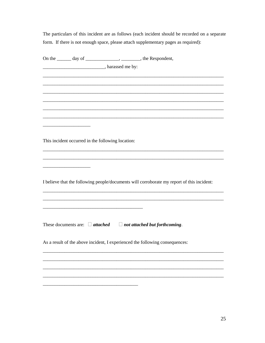The particulars of this incident are as follows (each incident should be recorded on a separate form. If there is not enough space, please attach supplementary pages as required):

|  | On the _______ day of ____________________, _________, the Respondent,                                                                                                                                                              |
|--|-------------------------------------------------------------------------------------------------------------------------------------------------------------------------------------------------------------------------------------|
|  | <b>EXAMPLE 2018</b> The subset of the set of the set of the set of the set of the set of the set of the set of the set of the set of the set of the set of the set of the set of the set of the set of the set of the set of the se |
|  |                                                                                                                                                                                                                                     |
|  |                                                                                                                                                                                                                                     |
|  |                                                                                                                                                                                                                                     |
|  |                                                                                                                                                                                                                                     |
|  |                                                                                                                                                                                                                                     |
|  |                                                                                                                                                                                                                                     |
|  |                                                                                                                                                                                                                                     |
|  |                                                                                                                                                                                                                                     |
|  | This incident occurred in the following location:                                                                                                                                                                                   |
|  |                                                                                                                                                                                                                                     |
|  |                                                                                                                                                                                                                                     |
|  |                                                                                                                                                                                                                                     |
|  |                                                                                                                                                                                                                                     |
|  | I believe that the following people/documents will corroborate my report of this incident:                                                                                                                                          |
|  |                                                                                                                                                                                                                                     |
|  |                                                                                                                                                                                                                                     |
|  |                                                                                                                                                                                                                                     |
|  |                                                                                                                                                                                                                                     |
|  |                                                                                                                                                                                                                                     |
|  | These documents are: $\Box$ attached $\Box$ not attached but forthcoming.                                                                                                                                                           |
|  |                                                                                                                                                                                                                                     |
|  | As a result of the above incident, I experienced the following consequences:                                                                                                                                                        |
|  |                                                                                                                                                                                                                                     |
|  |                                                                                                                                                                                                                                     |
|  |                                                                                                                                                                                                                                     |
|  |                                                                                                                                                                                                                                     |
|  |                                                                                                                                                                                                                                     |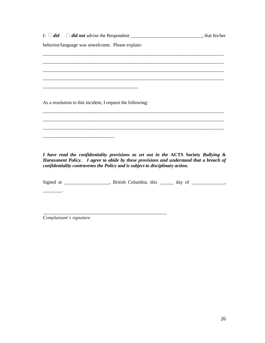$I: \Box$  *did*  $\Box$  *did not* advise the Respondent \_\_\_\_\_\_\_\_\_\_\_\_\_\_\_\_\_\_\_\_\_\_\_\_\_\_\_\_\_, that his/her behavior/language was unwelcome. Please explain: \_\_\_\_\_\_\_\_\_\_\_\_\_\_\_\_\_\_\_\_\_\_\_\_\_\_\_\_\_\_\_\_\_\_\_\_\_\_\_\_\_\_\_\_\_\_\_\_\_\_\_\_\_\_\_\_\_\_\_\_\_\_\_\_\_\_\_\_\_\_\_\_\_\_\_\_ \_\_\_\_\_\_\_\_\_\_\_\_\_\_\_\_\_\_\_\_\_\_\_\_\_\_\_\_\_\_\_\_\_\_\_\_\_\_\_\_\_\_\_\_\_\_\_\_\_\_\_\_\_\_\_\_\_\_\_\_\_\_\_\_\_\_\_\_\_\_\_\_\_\_\_\_ \_\_\_\_\_\_\_\_\_\_\_\_\_\_\_\_\_\_\_\_\_\_\_\_\_\_\_\_\_\_\_\_\_\_\_\_\_\_\_\_\_\_\_\_\_\_\_\_\_\_\_\_\_\_\_\_\_\_\_\_\_\_\_\_\_\_\_\_\_\_\_\_\_\_\_\_ \_\_\_\_\_\_\_\_\_\_\_\_\_\_\_\_\_\_\_\_\_\_\_\_\_\_\_\_\_\_\_\_\_\_\_\_\_\_\_\_\_\_\_\_\_\_\_\_\_\_\_\_\_\_\_\_\_\_\_\_\_\_\_\_\_\_\_\_\_\_\_\_\_\_\_\_ \_\_\_\_\_\_\_\_\_\_\_\_\_\_\_\_\_\_\_\_\_\_\_\_\_\_\_\_\_\_\_\_\_\_\_\_\_\_\_\_ As a resolution to this incident, I request the following: \_\_\_\_\_\_\_\_\_\_\_\_\_\_\_\_\_\_\_\_\_\_\_\_\_\_\_\_\_\_\_\_\_\_\_\_\_\_\_\_\_\_\_\_\_\_\_\_\_\_\_\_\_\_\_\_\_\_\_\_\_\_\_\_\_\_\_\_\_\_\_\_\_\_\_\_ \_\_\_\_\_\_\_\_\_\_\_\_\_\_\_\_\_\_\_\_\_\_\_\_\_\_\_\_\_\_\_\_\_\_\_\_\_\_\_\_\_\_\_\_\_\_\_\_\_\_\_\_\_\_\_\_\_\_\_\_\_\_\_\_\_\_\_\_\_\_\_\_\_\_\_\_ \_\_\_\_\_\_\_\_\_\_\_\_\_\_\_\_\_\_\_\_\_\_\_\_\_\_\_\_\_\_\_\_\_\_\_\_\_\_\_\_\_\_\_\_\_\_\_\_\_\_\_\_\_\_\_\_\_\_\_\_\_\_\_\_\_\_\_\_\_\_\_\_\_\_\_\_ \_\_\_\_\_\_\_\_\_\_\_\_\_\_\_\_\_\_\_\_\_\_\_\_\_\_\_\_\_\_ *I have read the confidentiality provisions as set out in the* **ACTS Society** *Bullying & Harassment Policy. I agree to abide by these provisions and understand that a breach of confidentiality contravenes the Policy and is subject to disciplinary action.* Signed at \_\_\_\_\_\_\_\_\_\_\_\_\_\_, British Columbia, this \_\_\_\_\_\_ day of \_\_\_\_\_\_\_\_\_\_\_, \_\_\_\_\_\_\_\_.

*Complainant's signature*

\_\_\_\_\_\_\_\_\_\_\_\_\_\_\_\_\_\_\_\_\_\_\_\_\_\_\_\_\_\_\_\_\_\_\_\_\_\_\_\_\_\_\_\_\_\_\_\_\_\_\_\_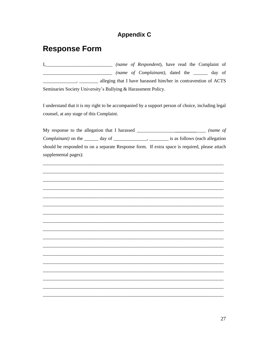## **Appendix C**

## **Response Form**

(name of Complainant), dated the \_\_\_\_\_ day of alleging that I have hardsed him/her in contravention of ACTS Seminaries Society University's Bullying & Harassment Policy.

I understand that it is my right to be accompanied by a support person of choice, including legal counsel, at any stage of this Complaint.

My response to the allegation that I harassed \_\_\_\_\_\_\_\_\_\_\_\_\_\_\_\_\_\_\_\_\_\_\_\_\_\_\_\_\_\_\_\_\_ (name of Complainant) on the \_\_\_\_\_\_\_ day of \_\_\_\_\_\_\_\_\_\_\_\_\_\_\_, \_\_\_\_\_\_\_\_\_\_ is as follows (each allegation should be responded to on a separate Response form. If extra space is required, please attach supplemental pages):

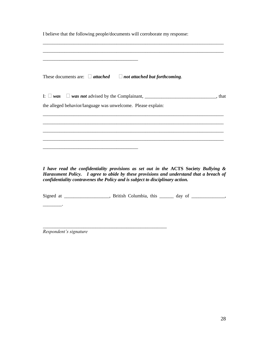| I believe that the following people/documents will corroborate my response:                                                                                                   |  |
|-------------------------------------------------------------------------------------------------------------------------------------------------------------------------------|--|
| These documents are: $\Box$ attached $\Box$ not attached but forthcoming.                                                                                                     |  |
| the alleged behavior/language was unwelcome. Please explain:                                                                                                                  |  |
| <u> 1989 - Johann Stoff, deutscher Stoff, der Stoff, der Stoff, der Stoff, der Stoff, der Stoff, der Stoff, der S</u>                                                         |  |
| <u> 1989 - Johann Harry Harry Harry Harry Harry Harry Harry Harry Harry Harry Harry Harry Harry Harry Harry Harry</u>                                                         |  |
| I have read the confidentiality provisions as set out in the ACTS Society Bullying &<br>However yet Doliou I gave to ghide by these menicians and undergrand that a breach of |  |

*Harassment Policy. I agree to abide by these provisions and understand that a breach of confidentiality contravenes the Policy and is subject to disciplinary action.*

Signed at \_\_\_\_\_\_\_\_\_\_\_\_\_\_, British Columbia, this \_\_\_\_\_\_ day of \_\_\_\_\_\_\_\_\_\_,

\_\_\_\_\_\_\_\_\_\_\_\_\_\_\_\_\_\_\_\_\_\_\_\_\_\_\_\_\_\_\_\_\_\_\_\_\_\_\_\_\_\_\_\_\_\_\_\_\_\_\_\_

*Respondent's signature*

 $\overline{\phantom{a}}$  .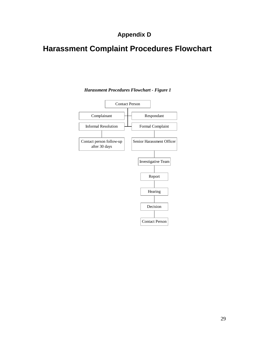## **Appendix D**

## **Harassment Complaint Procedures Flowchart**



*Harassment Procedures Flowchart - Figure 1*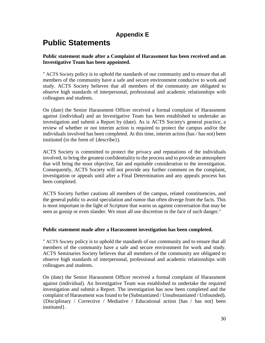## **Appendix E**

## **Public Statements**

#### **Public statement made after a Complaint of Harassment has been received and an Investigative Team has been appointed.**

" ACTS Society policy is to uphold the standards of our community and to ensure that all members of the community have a safe and secure environment conducive to work and study. ACTS Society believes that all members of the community are obligated to observe high standards of interpersonal, professional and academic relationships with colleagues and students.

On (date) the Senior Harassment Officer received a formal complaint of Harassment against (individual) and an Investigative Team has been established to undertake an investigation and submit a Report by (date). As is ACTS Society's general practice, a review of whether or not interim action is required to protect the campus and/or the individuals involved has been completed. At this time, interim action (has / has not) been instituted (in the form of {describe}).

ACTS Society is committed to protect the privacy and reputations of the individuals involved, to bring the greatest confidentiality to the process and to provide an atmosphere that will bring the most objective, fair and equitable consideration to the investigation. Consequently, ACTS Society will not provide any further comment on the complaint, investigation or appeals until after a Final Determination and any appeals process has been completed.

ACTS Society further cautions all members of the campus, related constituencies, and the general public to avoid speculation and rumor that often diverge from the facts. This is most important in the light of Scripture that warns us against conversation that may be seen as gossip or even slander. We must all use discretion in the face of such danger."

#### **Public statement made after a Harassment investigation has been completed.**

" ACTS Society policy is to uphold the standards of our community and to ensure that all members of the community have a safe and secure environment for work and study. ACTS Seminaries Society believes that all members of the community are obligated to observe high standards of interpersonal, professional and academic relationships with colleagues and students.

On (date) the Senior Harassment Officer received a formal complaint of Harassment against (individual). An Investigative Team was established to undertake the required investigation and submit a Report. The investigation has now been completed and the complaint of Harassment was found to be (Substantiated / Unsubstantiated / Unfounded). {Disciplinary / Corrective / Mediative / Educational action [has / has not] been instituted}.